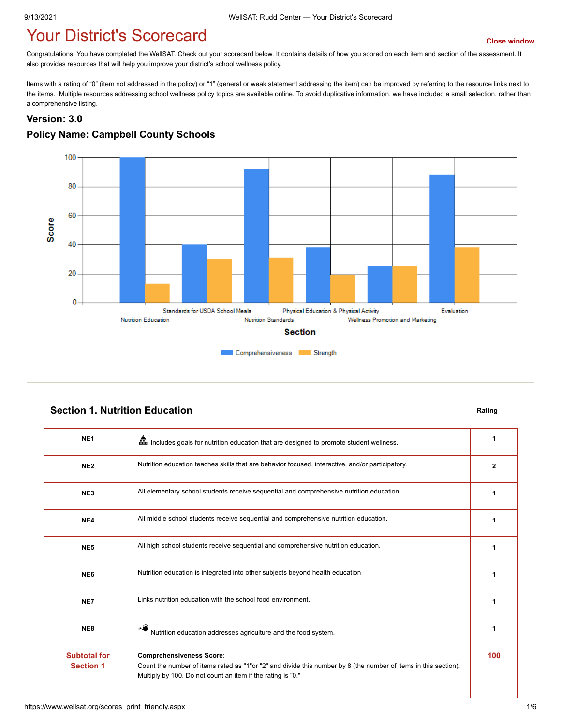# **Your District's Scorecard** *[Close window](javascript:close();)*

Congratulations! You have completed the WellSAT. Check out your scorecard below. It contains details of how you scored on each item and section of the assessment. It also provides resources that will help you improve your district's school wellness policy.

Items with a rating of "0" (item not addressed in the policy) or "1" (general or weak statement addressing the item) can be improved by referring to the resource links next to the items. Multiple resources addressing school wellness policy topics are available online. To avoid duplicative information, we have included a small selection, rather than a comprehensive listing.

#### **Version: 3.0**

#### **Policy Name: Campbell County Schools**



|                                         | <b>Section 1. Nutrition Education</b>                                                                                                                                                                             | Rating       |
|-----------------------------------------|-------------------------------------------------------------------------------------------------------------------------------------------------------------------------------------------------------------------|--------------|
| NE <sub>1</sub>                         | Em Includes goals for nutrition education that are designed to promote student wellness.                                                                                                                          | 1            |
| NE <sub>2</sub>                         | Nutrition education teaches skills that are behavior focused, interactive, and/or participatory.                                                                                                                  | $\mathbf{2}$ |
| NE3                                     | All elementary school students receive sequential and comprehensive nutrition education.                                                                                                                          | 1            |
| NE4                                     | All middle school students receive sequential and comprehensive nutrition education.                                                                                                                              | 1            |
| NE <sub>5</sub>                         | All high school students receive sequential and comprehensive nutrition education.                                                                                                                                | 1            |
| NE <sub>6</sub>                         | Nutrition education is integrated into other subjects beyond health education                                                                                                                                     | 1            |
| NE7                                     | Links nutrition education with the school food environment.                                                                                                                                                       | 1            |
| NE8                                     | Nutrition education addresses agriculture and the food system.                                                                                                                                                    | 1            |
| <b>Subtotal for</b><br><b>Section 1</b> | <b>Comprehensiveness Score:</b><br>Count the number of items rated as "1"or "2" and divide this number by 8 (the number of items in this section).<br>Multiply by 100. Do not count an item if the rating is "0." | 100          |

### https://www.wellsat.org/scores\_print\_friendly.aspx 1/6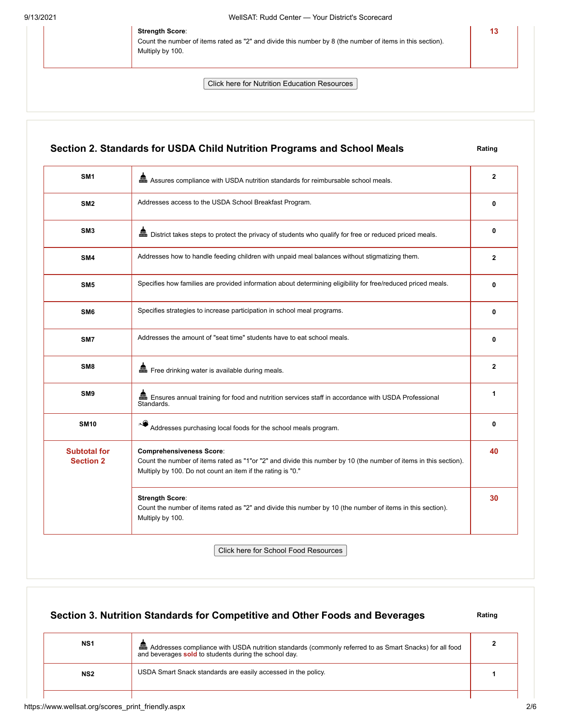#### **Strength Score**:

Count the number of items rated as "2" and divide this number by 8 (the number of items in this section). Multiply by 100.

Click here for Nutrition Education Resources

### **Section 2. Standards for USDA Child Nutrition Programs and School Meals Rating**

**13**

| SM <sub>1</sub>                         | Assures compliance with USDA nutrition standards for reimbursable school meals.                                                                                                                                    | $\mathbf{2}$ |
|-----------------------------------------|--------------------------------------------------------------------------------------------------------------------------------------------------------------------------------------------------------------------|--------------|
| SM <sub>2</sub>                         | Addresses access to the USDA School Breakfast Program.                                                                                                                                                             | 0            |
| SM <sub>3</sub>                         |                                                                                                                                                                                                                    | 0            |
| SM4                                     | Addresses how to handle feeding children with unpaid meal balances without stigmatizing them.                                                                                                                      | $\mathbf{2}$ |
| SM <sub>5</sub>                         | Specifies how families are provided information about determining eligibility for free/reduced priced meals.                                                                                                       | 0            |
| SM <sub>6</sub>                         | Specifies strategies to increase participation in school meal programs.                                                                                                                                            | $\mathbf{0}$ |
| SM7                                     | Addresses the amount of "seat time" students have to eat school meals.                                                                                                                                             | 0            |
| SM <sub>8</sub>                         | Free drinking water is available during meals.                                                                                                                                                                     | $\mathbf{2}$ |
| SM <sub>9</sub>                         | ■ Ensures annual training for food and nutrition services staff in accordance with USDA Professional<br>Standards.                                                                                                 | 1            |
| <b>SM10</b>                             | Addresses purchasing local foods for the school meals program.                                                                                                                                                     | 0            |
| <b>Subtotal for</b><br><b>Section 2</b> | <b>Comprehensiveness Score:</b><br>Count the number of items rated as "1"or "2" and divide this number by 10 (the number of items in this section).<br>Multiply by 100. Do not count an item if the rating is "0." | 40           |
|                                         | <b>Strength Score:</b><br>Count the number of items rated as "2" and divide this number by 10 (the number of items in this section).<br>Multiply by 100.                                                           | 30           |

Click here for School Food Resources

# **Section 3. Nutrition Standards for Competitive and Other Foods and Beverages** Rating **NS1 ADD** Addresses compliance with USDA nutrition standards (commonly referred to as Smart Snacks) for all food and beverages **sold** to students during the school day. **2 NS2** USDA Smart Snack standards are easily accessed in the policy. **1** 1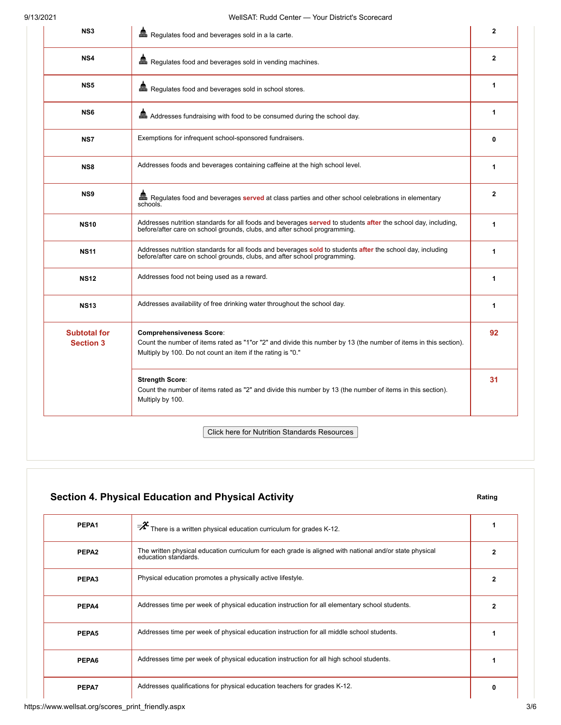| NS <sub>3</sub>                         | Regulates food and beverages sold in a la carte.                                                                                                                                                                   | $\mathbf{2}$   |
|-----------------------------------------|--------------------------------------------------------------------------------------------------------------------------------------------------------------------------------------------------------------------|----------------|
| NS4                                     | Regulates food and beverages sold in vending machines.                                                                                                                                                             | $\overline{2}$ |
| NS5                                     | Regulates food and beverages sold in school stores.                                                                                                                                                                | 1              |
| NS <sub>6</sub>                         | Addresses fundraising with food to be consumed during the school day.                                                                                                                                              | 1              |
| NS7                                     | Exemptions for infrequent school-sponsored fundraisers.                                                                                                                                                            | 0              |
| NS8                                     | Addresses foods and beverages containing caffeine at the high school level.                                                                                                                                        | 1              |
| NS <sub>9</sub>                         | Regulates food and beverages served at class parties and other school celebrations in elementary<br>schools.                                                                                                       | $\mathbf{2}$   |
| <b>NS10</b>                             | Addresses nutrition standards for all foods and beverages served to students after the school day, including,<br>before/after care on school grounds, clubs, and after school programming.                         | 1              |
| <b>NS11</b>                             | Addresses nutrition standards for all foods and beverages sold to students after the school day, including<br>before/after care on school grounds, clubs, and after school programming.                            | 1              |
| <b>NS12</b>                             | Addresses food not being used as a reward.                                                                                                                                                                         | 1              |
| <b>NS13</b>                             | Addresses availability of free drinking water throughout the school day.                                                                                                                                           | 1              |
| <b>Subtotal for</b><br><b>Section 3</b> | <b>Comprehensiveness Score:</b><br>Count the number of items rated as "1"or "2" and divide this number by 13 (the number of items in this section).<br>Multiply by 100. Do not count an item if the rating is "0." | 92             |
|                                         | <b>Strength Score:</b><br>Count the number of items rated as "2" and divide this number by 13 (the number of items in this section).<br>Multiply by 100.                                                           | 31             |
|                                         | <b>Click here for Nutrition Standards Resources</b>                                                                                                                                                                |                |

## **Section 4. Physical Education and Physical Activity <b>Rating** Rating

| PEPA1             | $\overline{\mathbf{R}}^2$ There is a written physical education curriculum for grades K-12.                                     |   |
|-------------------|---------------------------------------------------------------------------------------------------------------------------------|---|
| PEPA <sub>2</sub> | The written physical education curriculum for each grade is aligned with national and/or state physical<br>education standards. | 2 |
| PEPA3             | Physical education promotes a physically active lifestyle.                                                                      |   |
| PEPA4             | Addresses time per week of physical education instruction for all elementary school students.                                   | 2 |
| PEPA5             | Addresses time per week of physical education instruction for all middle school students.                                       |   |
| PEPA6             | Addresses time per week of physical education instruction for all high school students.                                         |   |
| PEPA7             | Addresses qualifications for physical education teachers for grades K-12.                                                       | 0 |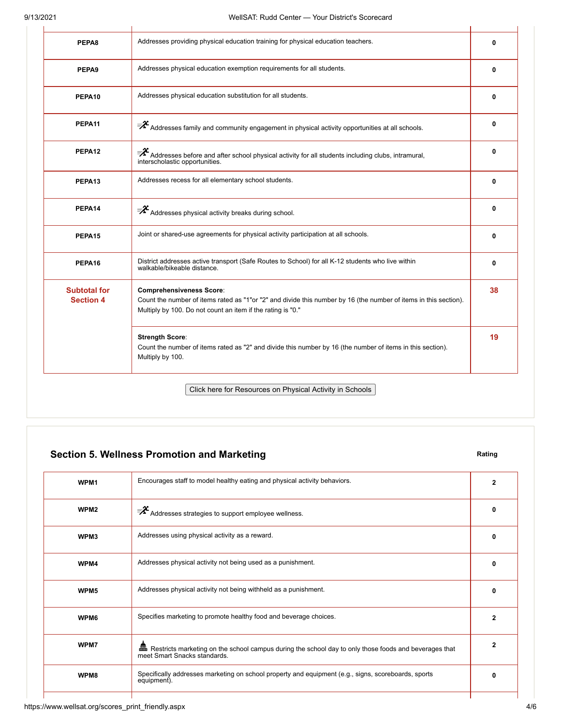l.

| PEPA8                                   | Addresses providing physical education training for physical education teachers.                                                                                                                                   | 0            |
|-----------------------------------------|--------------------------------------------------------------------------------------------------------------------------------------------------------------------------------------------------------------------|--------------|
| PEPA9                                   | Addresses physical education exemption requirements for all students.                                                                                                                                              | 0            |
| PEPA10                                  | Addresses physical education substitution for all students.                                                                                                                                                        | 0            |
| PEPA11                                  | $\bar{\mathbf{z}}^2$ Addresses family and community engagement in physical activity opportunities at all schools.                                                                                                  | 0            |
| PEPA12                                  | $\mathcal{F}$ Addresses before and after school physical activity for all students including clubs, intramural,<br>interscholastic opportunities.                                                                  | $\Omega$     |
| PEPA13                                  | Addresses recess for all elementary school students.                                                                                                                                                               | $\mathbf{0}$ |
| PEPA14                                  | $\overline{\mathscr{F}}$ Addresses physical activity breaks during school.                                                                                                                                         | 0            |
| PEPA15                                  | Joint or shared-use agreements for physical activity participation at all schools.                                                                                                                                 | $\Omega$     |
| PEPA16                                  | District addresses active transport (Safe Routes to School) for all K-12 students who live within<br>walkable/bikeable distance.                                                                                   | 0            |
| <b>Subtotal for</b><br><b>Section 4</b> | <b>Comprehensiveness Score:</b><br>Count the number of items rated as "1"or "2" and divide this number by 16 (the number of items in this section).<br>Multiply by 100. Do not count an item if the rating is "0." | 38           |
|                                         | <b>Strength Score:</b><br>Count the number of items rated as "2" and divide this number by 16 (the number of items in this section).<br>Multiply by 100.                                                           | 19           |

### **Section 5. Wellness Promotion and Marketing Rating Rating Rating**

| WPM <sub>1</sub> | Encourages staff to model healthy eating and physical activity behaviors.                                                                | $\mathbf{2}$ |
|------------------|------------------------------------------------------------------------------------------------------------------------------------------|--------------|
| WPM <sub>2</sub> | $\overline{\mathscr{F}}$ Addresses strategies to support employee wellness.                                                              | 0            |
| WPM3             | Addresses using physical activity as a reward.                                                                                           | 0            |
| WPM4             | Addresses physical activity not being used as a punishment.                                                                              | 0            |
| WPM <sub>5</sub> | Addresses physical activity not being withheld as a punishment.                                                                          | 0            |
| WPM6             | Specifies marketing to promote healthy food and beverage choices.                                                                        | 2            |
| WPM7             | Em Restricts marketing on the school campus during the school day to only those foods and beverages that<br>meet Smart Snacks standards. | 2            |
| WPM8             | Specifically addresses marketing on school property and equipment (e.g., signs, scoreboards, sports<br>equipment).                       | O            |
|                  |                                                                                                                                          |              |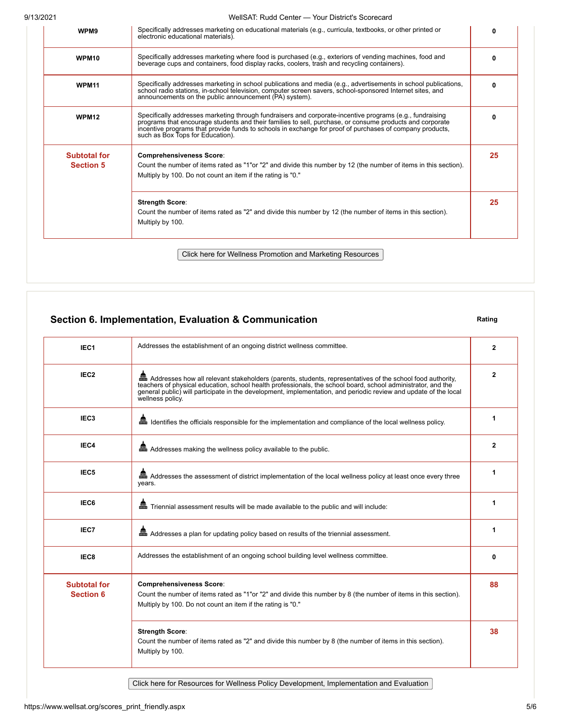9/13/2021 WellSAT: Rudd Center — Your District's Scorecard

| ا ع∪∠ان             | $\alpha$ , $\alpha$ , $\alpha$ , $\alpha$ , $\alpha$ , $\alpha$ , $\alpha$ , $\alpha$ , $\alpha$ , $\alpha$ , $\alpha$ , $\alpha$ , $\alpha$ , $\alpha$ , $\alpha$ , $\alpha$ , $\alpha$                                                                                                                                                                             |    |
|---------------------|----------------------------------------------------------------------------------------------------------------------------------------------------------------------------------------------------------------------------------------------------------------------------------------------------------------------------------------------------------------------|----|
| WPM9                | Specifically addresses marketing on educational materials (e.g., curricula, textbooks, or other printed or<br>electronic educational materials).                                                                                                                                                                                                                     | 0  |
| WPM10               | Specifically addresses marketing where food is purchased (e.g., exteriors of vending machines, food and<br>beverage cups and containers, food display racks, coolers, trash and recycling containers).                                                                                                                                                               | ŋ  |
| <b>WPM11</b>        | Specifically addresses marketing in school publications and media (e.g., advertisements in school publications,<br>school radio stations, in-school television, computer screen savers, school-sponsored Internet sites, and<br>announcements on the public announcement (PA) system).                                                                               | n  |
| <b>WPM12</b>        | Specifically addresses marketing through fundraisers and corporate-incentive programs (e.g., fundraising<br>programs that encourage students and their families to sell, purchase, or consume products and corporate<br>incentive programs that provide funds to schools in exchange for proof of purchases of company products,<br>such as Box Tops for Education). |    |
| <b>Subtotal for</b> | <b>Comprehensiveness Score:</b>                                                                                                                                                                                                                                                                                                                                      | 25 |
| <b>Section 5</b>    | Count the number of items rated as "1"or "2" and divide this number by 12 (the number of items in this section).<br>Multiply by 100. Do not count an item if the rating is "0."                                                                                                                                                                                      |    |
|                     | <b>Strength Score:</b><br>Count the number of items rated as "2" and divide this number by 12 (the number of items in this section).<br>Multiply by 100.                                                                                                                                                                                                             | 25 |
|                     | Click here for Wellness Promotion and Marketing Resources                                                                                                                                                                                                                                                                                                            |    |

### **Section 6. Implementation, Evaluation & Communication Rating Rating**

| Addresses the establishment of an ongoing district wellness committee.                                                                                                                                                                                                                                                                                               | 2  |
|----------------------------------------------------------------------------------------------------------------------------------------------------------------------------------------------------------------------------------------------------------------------------------------------------------------------------------------------------------------------|----|
| an Addresses how all relevant stakeholders (parents, students, representatives of the school food authority,<br>teachers of physical education, school health professionals, the school board, school administrator, and the<br>general public) will participate in the development, implementation, and periodic review and update of the local<br>wellness policy. | 2  |
| and I dentifies the officials responsible for the implementation and compliance of the local wellness policy.                                                                                                                                                                                                                                                        | 1  |
| and Addresses making the wellness policy available to the public.                                                                                                                                                                                                                                                                                                    | 2  |
| Addresses the assessment of district implementation of the local wellness policy at least once every three<br>years.                                                                                                                                                                                                                                                 | 1  |
| en Triennial assessment results will be made available to the public and will include:                                                                                                                                                                                                                                                                               | 1  |
| Em Addresses a plan for updating policy based on results of the triennial assessment.                                                                                                                                                                                                                                                                                | 1  |
| Addresses the establishment of an ongoing school building level wellness committee.                                                                                                                                                                                                                                                                                  | 0  |
| <b>Comprehensiveness Score:</b><br>Count the number of items rated as "1"or "2" and divide this number by 8 (the number of items in this section).<br>Multiply by 100. Do not count an item if the rating is "0."                                                                                                                                                    | 88 |
| <b>Strength Score:</b><br>Count the number of items rated as "2" and divide this number by 8 (the number of items in this section).<br>Multiply by 100.                                                                                                                                                                                                              | 38 |
|                                                                                                                                                                                                                                                                                                                                                                      |    |

Click here for Resources for Wellness Policy Development, Implementation and Evaluation